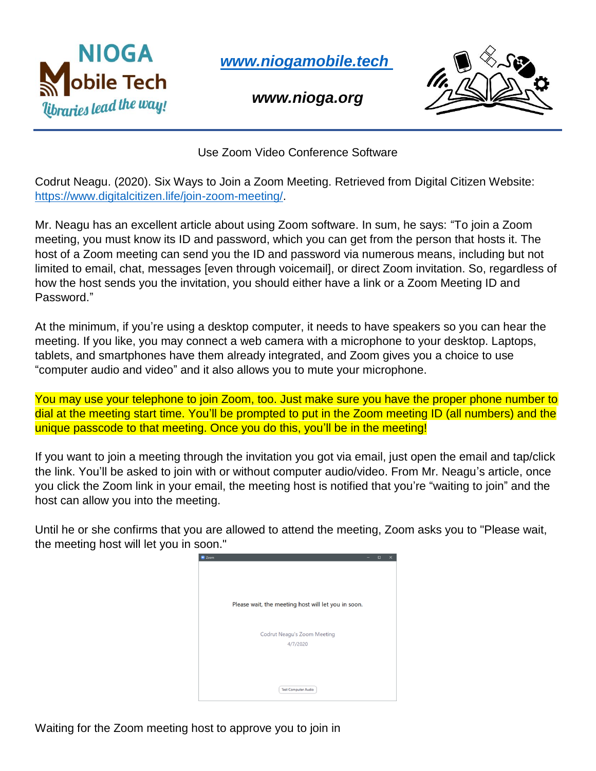

*[www.niogamobile.tech](http://www.niogamobile.tech/)*

*www.nioga.org*



Use Zoom Video Conference Software

Codrut Neagu. (2020). Six Ways to Join a Zoom Meeting. Retrieved from Digital Citizen Website: [https://www.digitalcitizen.life/join-zoom-meeting/.](https://www.digitalcitizen.life/join-zoom-meeting/)

Mr. Neagu has an excellent article about using Zoom software. In sum, he says: "To join a Zoom meeting, you must know its ID and password, which you can get from the person that hosts it. The host of a Zoom meeting can send you the ID and password via numerous means, including but not limited to email, chat, messages [even through voicemail], or direct Zoom invitation. So, regardless of how the host sends you the invitation, you should either have a link or a Zoom Meeting ID and Password."

At the minimum, if you're using a desktop computer, it needs to have speakers so you can hear the meeting. If you like, you may connect a web camera with a microphone to your desktop. Laptops, tablets, and smartphones have them already integrated, and Zoom gives you a choice to use "computer audio and video" and it also allows you to mute your microphone.

You may use your telephone to join Zoom, too. Just make sure you have the proper phone number to dial at the meeting start time. You'll be prompted to put in the Zoom meeting ID (all numbers) and the unique passcode to that meeting. Once you do this, you'll be in the meeting!

If you want to join a meeting through the invitation you got via email, just open the email and tap/click the link. You'll be asked to join with or without computer audio/video. From Mr. Neagu's article, once you click the Zoom link in your email, the meeting host is notified that you're "waiting to join" and the host can allow you into the meeting.

Until he or she confirms that you are allowed to attend the meeting, Zoom asks you to "Please wait, the meeting host will let you in soon."



Waiting for the Zoom meeting host to approve you to join in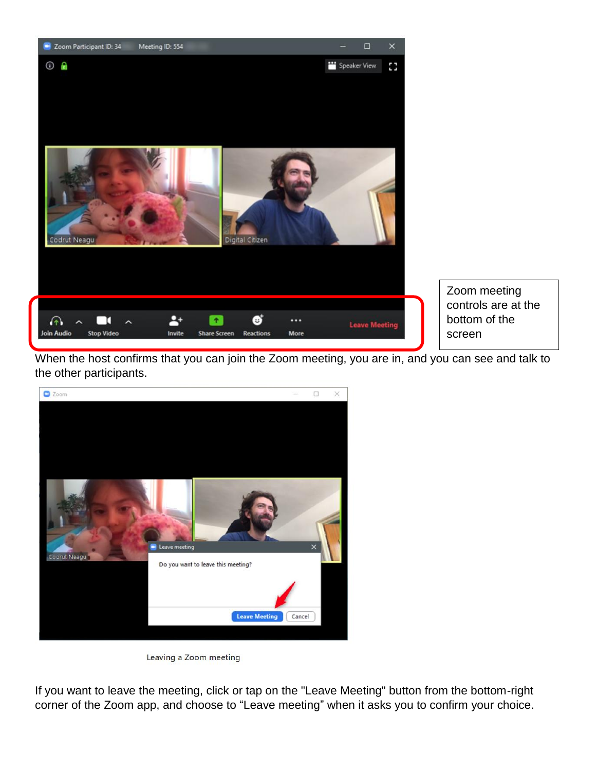

Zoom meeting controls are at the bottom of the screen

When the host confirms that you can join the Zoom meeting, you are in, and you can see and talk to the other participants.





If you want to leave the meeting, click or tap on the "Leave Meeting" button from the bottom-right corner of the Zoom app, and choose to "Leave meeting" when it asks you to confirm your choice.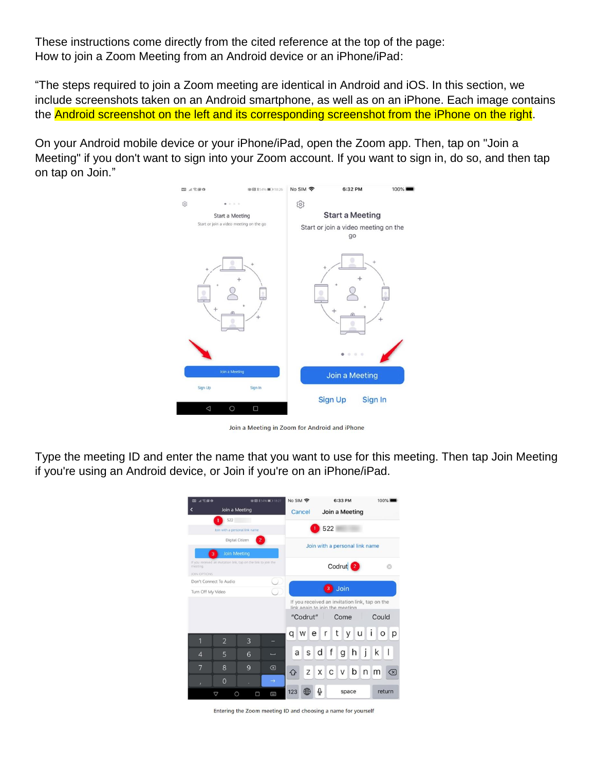These instructions come directly from the cited reference at the top of the page: How to join a Zoom Meeting from an Android device or an iPhone/iPad:

"The steps required to join a Zoom meeting are identical in Android and iOS. In this section, we include screenshots taken on an Android smartphone, as well as on an iPhone. Each image contains the Android screenshot on the left and its corresponding screenshot from the iPhone on the right.

On your Android mobile device or your iPhone/iPad, open the Zoom app. Then, tap on "Join a Meeting" if you don't want to sign into your Zoom account. If you want to sign in, do so, and then tap on tap on Join."



Join a Meeting in Zoom for Android and iPhone

Type the meeting ID and enter the name that you want to use for this meeting. Then tap Join Meeting if you're using an Android device, or Join if you're on an iPhone/iPad.

| ⊿常慮◎<br>w                                                                                   |                 |                | ※日本54%■1827   | No SIM 今<br>6:33 PM<br>100%                                                      |
|---------------------------------------------------------------------------------------------|-----------------|----------------|---------------|----------------------------------------------------------------------------------|
|                                                                                             |                 | Join a Meeting |               | Cancel<br>Join a Meeting                                                         |
|                                                                                             | 522             |                |               |                                                                                  |
| Join with a personal link name.                                                             |                 |                |               | 522                                                                              |
| 2 <sup>1</sup><br>Digital Citizen                                                           |                 |                |               | Join with a personal link name                                                   |
| Join Meeting<br>з                                                                           |                 |                |               |                                                                                  |
| If you received an invitation link, tap on the link to join the<br>meeting.<br>JOIN OPTIONS |                 |                |               | Codrut <sup>2</sup>                                                              |
| Don't Connect To Audio                                                                      |                 |                |               |                                                                                  |
| Turn Off My Video                                                                           |                 |                |               | Join<br>$\overline{\mathbf{3}}$                                                  |
|                                                                                             |                 |                |               | If you received an invitation link, tap on the<br>link again to join the meeting |
|                                                                                             |                 |                |               | Could<br>"Codrut"<br>Come                                                        |
| 1                                                                                           | $\overline{2}$  | 3              |               | t<br>u<br>e<br>У<br>p<br>W<br>r<br>q<br>O                                        |
|                                                                                             |                 |                |               |                                                                                  |
| $\overline{4}$                                                                              | 5               | 6              |               | h<br>K<br>S<br>t<br>$\mathsf{I}$<br>a<br>d<br>g                                  |
| 7                                                                                           | 8               | $\mathbf{Q}$   | ⊠             | b<br>Z<br>X<br>С<br>V<br>n <sub>m</sub><br>(x)<br>슈                              |
| ×                                                                                           | $\overline{0}$  |                | $\rightarrow$ |                                                                                  |
|                                                                                             | $\triangledown$ | Ω<br>◯         | 囶             | Q<br>123<br>return<br>space                                                      |

Entering the Zoom meeting ID and choosing a name for yourself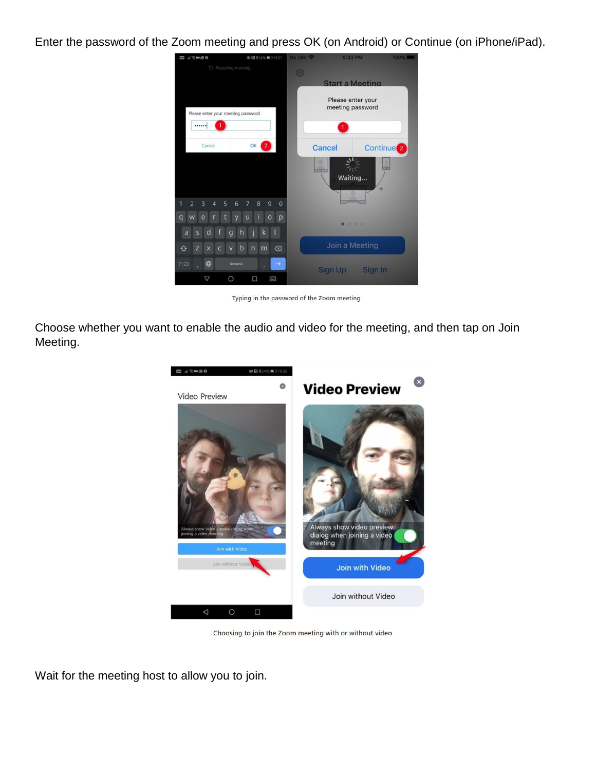Enter the password of the Zoom meeting and press OK (on Android) or Continue (on iPhone/iPad).



Typing in the password of the Zoom meeting

Choose whether you want to enable the audio and video for the meeting, and then tap on Join Meeting.



Choosing to join the Zoom meeting with or without video

Wait for the meeting host to allow you to join.